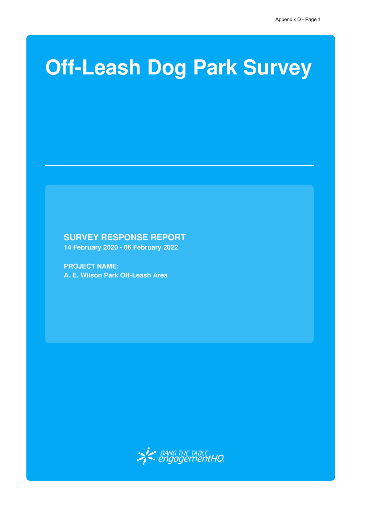## **Off-Leash Dog Park Survey**

## **SURVEY RESPONSE REPORT**

**14 February 2020 - 06 February 2022**

**PROJECT NAME: A. E. Wilson Park Off-Leash Area**

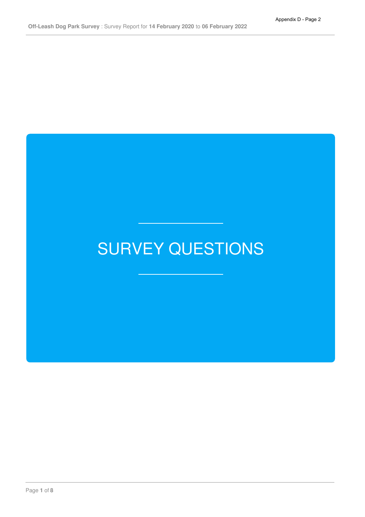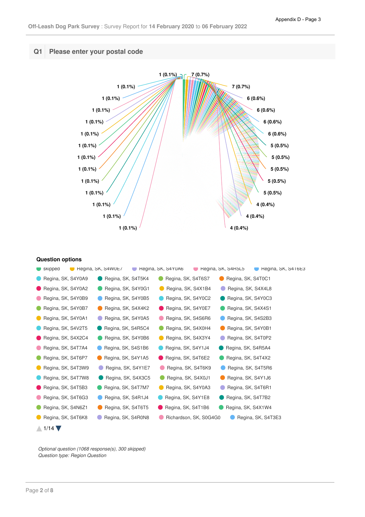

| skipped                     | Regina, SK, S4W0E7<br>С., | Regina, SK, S4Y0A6     | Regina, SK, S4R5L5<br>Regina, SK, $S416E3$ |
|-----------------------------|---------------------------|------------------------|--------------------------------------------|
| Regina, SK, S4Y0A9          | Regina, SK, S4T5K4        | Regina, SK, S4T6S7     | Regina, SK, S4T0C1                         |
| Regina, SK, S4Y0A2          | Regina, SK, S4Y0G1        | Regina, SK, S4X1B4     | Regina, SK, S4X4L8                         |
| Regina, SK, S4Y0B9          | Regina, SK, S4Y0B5        | Regina, SK, S4Y0C2     | Regina, SK, S4Y0C3                         |
| Regina, SK, S4Y0B7          | Regina, SK, S4X4K2        | Regina, SK, S4Y0E7     | Regina, SK, S4X4S1                         |
| Regina, SK, S4Y0A1          | Regina, SK, S4Y0A5        | Regina, SK, S4S6R6     | Regina, SK, S4S2B3                         |
| Regina, SK, S4V2T5          | Regina, SK, S4R5C4        | Regina, SK, S4X0H4     | Regina, SK, S4Y0B1                         |
| Regina, SK, S4X2C4          | Regina, SK, S4Y0B6        | Regina, SK, S4X3Y4     | Regina, SK, S4T0P2                         |
| Regina, SK, S4T7A4          | Regina, SK, S4S1B6        | Regina, SK, S4Y1J4     | Regina, SK, S4R5A4                         |
| Regina, SK, S4T6P7          | Regina, SK, S4Y1A5        | Regina, SK, S4T6E2     | Regina, SK, S4T4X2                         |
| Regina, SK, S4T3W9          | Regina, SK, S4Y1E7        | Regina, SK, S4T6K9     | Regina, SK, S4T5R6                         |
| Regina, SK, S4T7W8          | Regina, SK, S4X3C5        | Regina, SK, S4X0J1     | Regina, SK, S4Y1J6                         |
| Regina, SK, S4T5B3          | Regina, SK, S4T7M7        | Regina, SK, S4Y0A3     | Regina, SK, S4T6R1                         |
| Regina, SK, S4T6G3          | Regina, SK, S4R1J4        | Regina, SK, S4Y1E8     | Regina, SK, S4T7B2                         |
| Regina, SK, S4N6Z1          | Regina, SK, S4T6T5        | Regina, SK, S4T1B6     | Regina, SK, S4X1W4                         |
| Regina, SK, S4T6K8          | Regina, SK, S4R0N8        | Richardson, SK, S0G4G0 | Regina, SK, S4T3E3                         |
| $1/14$ $\blacktriangledown$ |                           |                        |                                            |

Optional question (1068 response(s), 300 skipped) *Question type: Region Question*

 $\bigwedge$  1/14

**Question options**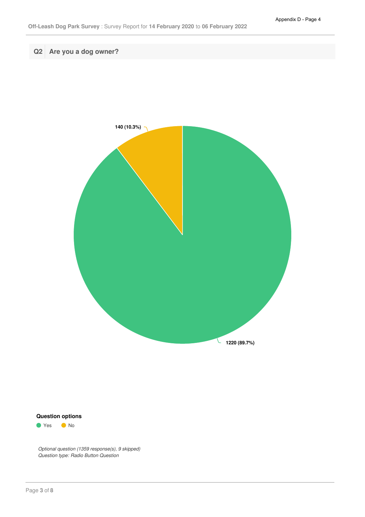**Q2 Are you a dog owner?**



## **Question options**

● Yes ● No

*Optional question (1359 response(s), 9 skipped) Question type: Radio Button Question*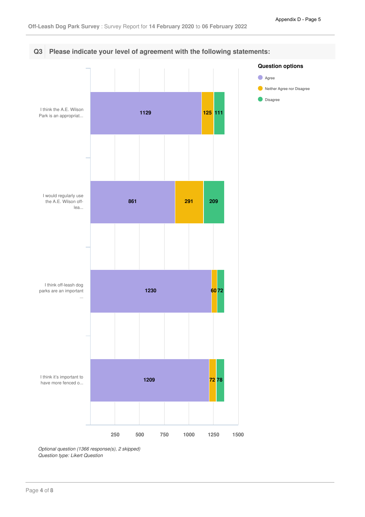

*Optional question (1366 response(s), 2 skipped) Question type: Likert Question*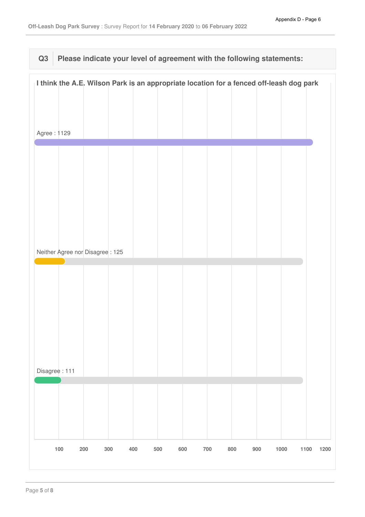## **Q3 Please indicate your level of agreement with the following statements:**

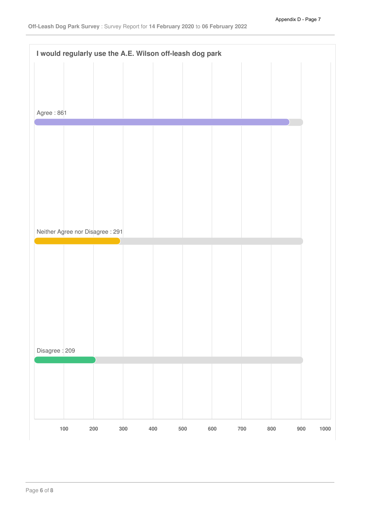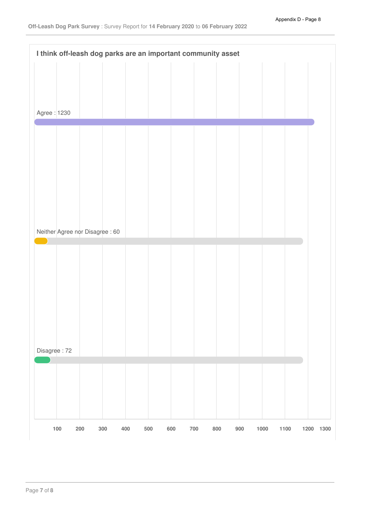